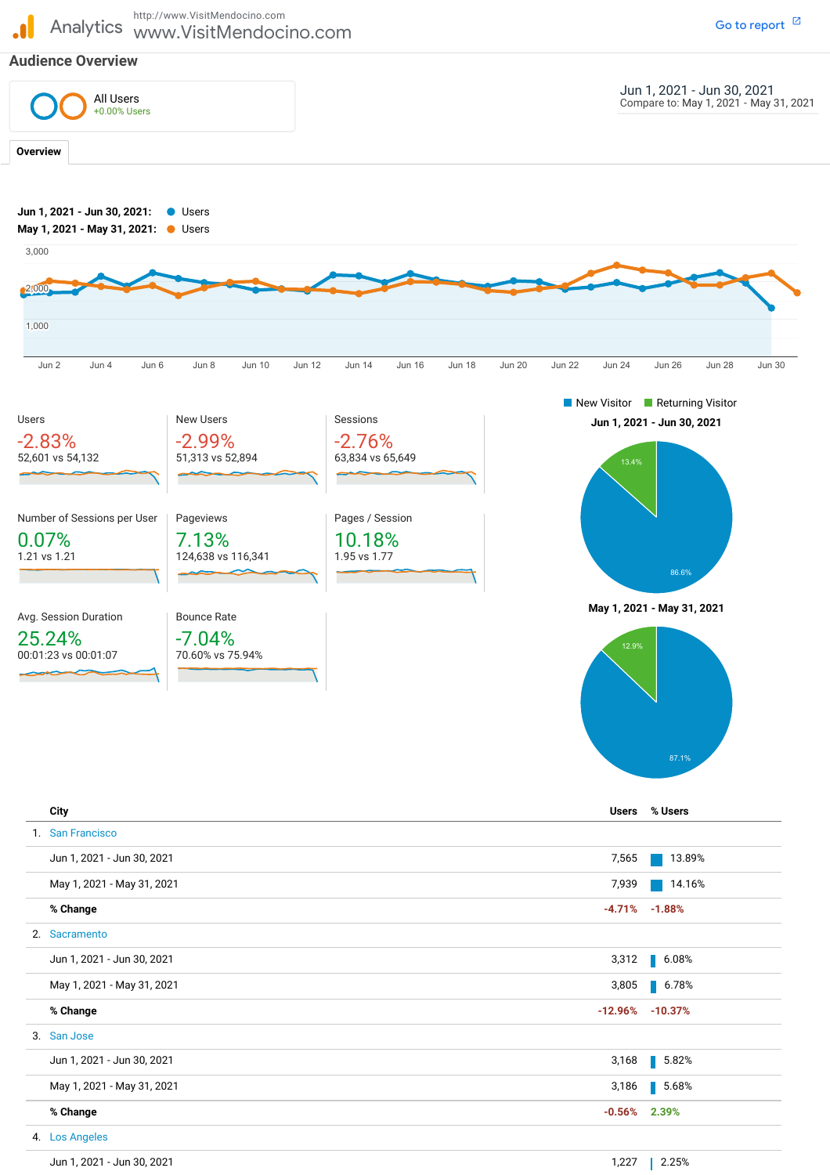http://www.VisitMendocino.com Go to [report](https://analytics.google.com/analytics/web/?authuser=1&utm_source=pdfReportLink#/report/visitors-overview/a12867652w27377511p26078957/_u.date00=20210601&_u.date01=20210630&_u.date10=20210501&_u.date11=20210531&overview-dimensionSummary.selectedGroup=demographics&overview-dimensionSummary.selectedDimension=analytics.city&overview-graphOptions.selected=analytics.nthDay)  $<sup>12</sup>$ </sup>  $\blacksquare$ Analytics www.VisitMendocino.com **Audience Overview** Jun 1, 2021 - Jun 30, 2021 Compare to: May 1, 2021 - May 31, 2021 All Users +0.00% Users**Overview Jun 1, 2021 - Jun 30, 2021:** Users **May 1, 2021 - May 31, 2021:** Users 3,000 2,000 1,000 Jun 2 Jun 4 Jun 6 Jun 8 Jun 10 Jun 12 Jun 14 Jun 16 Jun 18 Jun 20 Jun 22 Jun 24 Jun 26 Jun 28 Jun 30 New Visitor **Returning Visitor** Users New Users Sessions **Jun 1, 2021 - Jun 30, 2021** -2.83% -2.99% -2.76% 52,601 vs 54,132 51,313 vs 52,894 63,834 vs 65,649 Number of Sessions per User Pageviews Pages / Session 10.18% 0.07% 7.13% 1.21 vs 1.21 124,638 vs 116,341 1.95 vs 1.77 86.6% **May 1, 2021 - May 31, 2021** Avg. Session Duration Bounce Rate 25.24% -7.04% 00:01:23 vs 00:01:07 70.60% vs 75.94% **City Users % Users**

| 1. San Francisco           |                 |                      |
|----------------------------|-----------------|----------------------|
| Jun 1, 2021 - Jun 30, 2021 | 7,565           | 13.89%               |
| May 1, 2021 - May 31, 2021 | 7,939           | 14.16%               |
| % Change                   |                 | $-4.71\% -1.88\%$    |
| 2. Sacramento              |                 |                      |
| Jun 1, 2021 - Jun 30, 2021 | 3,312           | $\blacksquare$ 6.08% |
| May 1, 2021 - May 31, 2021 | 3,805           | $\blacksquare$ 6.78% |
| % Change                   |                 | $-12.96\% -10.37\%$  |
| 3. San Jose                |                 |                      |
| Jun 1, 2021 - Jun 30, 2021 | 3,168           | 5.82%                |
| May 1, 2021 - May 31, 2021 | 3,186           | $\blacksquare$ 5.68% |
| % Change                   | $-0.56\%$ 2.39% |                      |
| 4. Los Angeles             |                 |                      |
| Jun 1, 2021 - Jun 30, 2021 | 1,227           | 2.25%                |